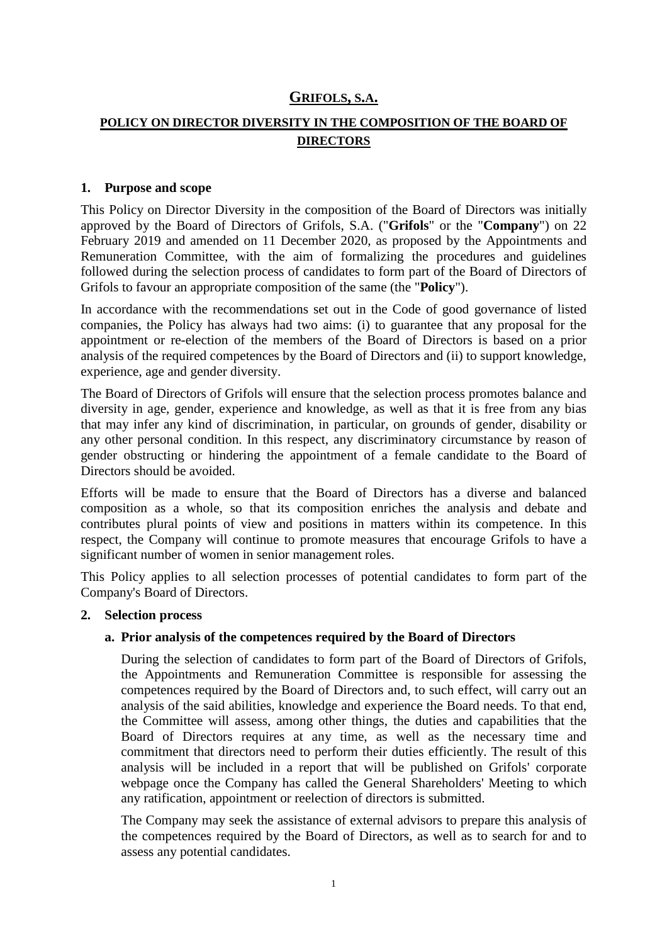## **GRIFOLS, S.A.**

# **POLICY ON DIRECTOR DIVERSITY IN THE COMPOSITION OF THE BOARD OF DIRECTORS**

### **1. Purpose and scope**

This Policy on Director Diversity in the composition of the Board of Directors was initially approved by the Board of Directors of Grifols, S.A. ("**Grifols**" or the "**Company**") on 22 February 2019 and amended on 11 December 2020, as proposed by the Appointments and Remuneration Committee, with the aim of formalizing the procedures and guidelines followed during the selection process of candidates to form part of the Board of Directors of Grifols to favour an appropriate composition of the same (the "**Policy**").

In accordance with the recommendations set out in the Code of good governance of listed companies, the Policy has always had two aims: (i) to guarantee that any proposal for the appointment or re-election of the members of the Board of Directors is based on a prior analysis of the required competences by the Board of Directors and (ii) to support knowledge, experience, age and gender diversity.

The Board of Directors of Grifols will ensure that the selection process promotes balance and diversity in age, gender, experience and knowledge, as well as that it is free from any bias that may infer any kind of discrimination, in particular, on grounds of gender, disability or any other personal condition. In this respect, any discriminatory circumstance by reason of gender obstructing or hindering the appointment of a female candidate to the Board of Directors should be avoided.

Efforts will be made to ensure that the Board of Directors has a diverse and balanced composition as a whole, so that its composition enriches the analysis and debate and contributes plural points of view and positions in matters within its competence. In this respect, the Company will continue to promote measures that encourage Grifols to have a significant number of women in senior management roles.

This Policy applies to all selection processes of potential candidates to form part of the Company's Board of Directors.

## **2. Selection process**

## **a. Prior analysis of the competences required by the Board of Directors**

During the selection of candidates to form part of the Board of Directors of Grifols, the Appointments and Remuneration Committee is responsible for assessing the competences required by the Board of Directors and, to such effect, will carry out an analysis of the said abilities, knowledge and experience the Board needs. To that end, the Committee will assess, among other things, the duties and capabilities that the Board of Directors requires at any time, as well as the necessary time and commitment that directors need to perform their duties efficiently. The result of this analysis will be included in a report that will be published on Grifols' corporate webpage once the Company has called the General Shareholders' Meeting to which any ratification, appointment or reelection of directors is submitted.

The Company may seek the assistance of external advisors to prepare this analysis of the competences required by the Board of Directors, as well as to search for and to assess any potential candidates.